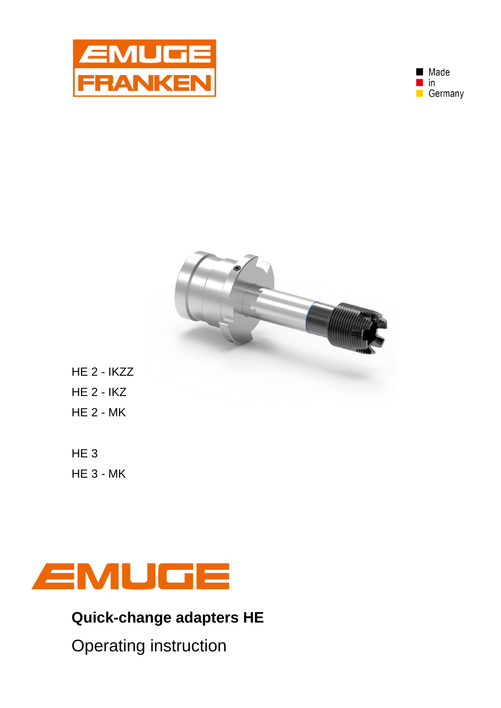





- HE 2 IKZZ HE 2 - IKZ HE 2 - MK
- HE 3 HE 3 - MK



**Quick-change adapters HE**

Operating instruction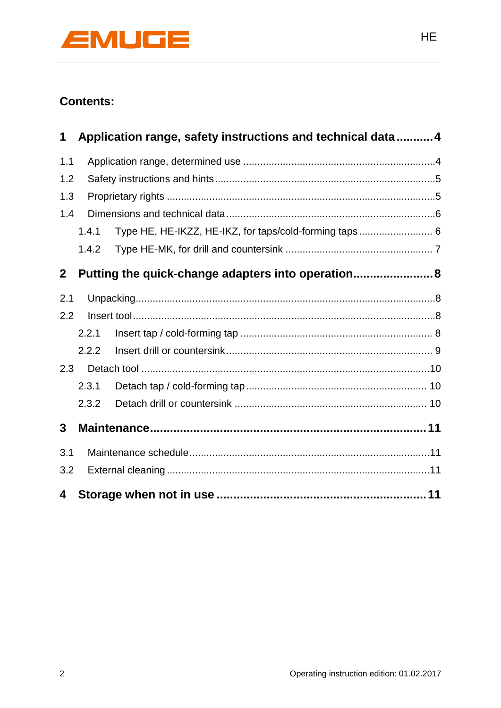

# **Contents:**

| 1            |       | Application range, safety instructions and technical data  4 |  |
|--------------|-------|--------------------------------------------------------------|--|
| 1.1          |       |                                                              |  |
| 1.2          |       |                                                              |  |
| 1.3          |       |                                                              |  |
| 1.4          |       |                                                              |  |
|              | 1.4.1 | Type HE, HE-IKZZ, HE-IKZ, for taps/cold-forming taps 6       |  |
|              | 1.4.2 |                                                              |  |
| $\mathbf{2}$ |       | Putting the quick-change adapters into operation 8           |  |
| 2.1          |       |                                                              |  |
| 2.2          |       |                                                              |  |
|              | 2.2.1 |                                                              |  |
|              | 2.2.2 |                                                              |  |
| 2.3          |       |                                                              |  |
|              | 2.3.1 |                                                              |  |
|              | 2.3.2 |                                                              |  |
| 3            |       |                                                              |  |
| 3.1          |       |                                                              |  |
| 3.2          |       |                                                              |  |
| 4            |       |                                                              |  |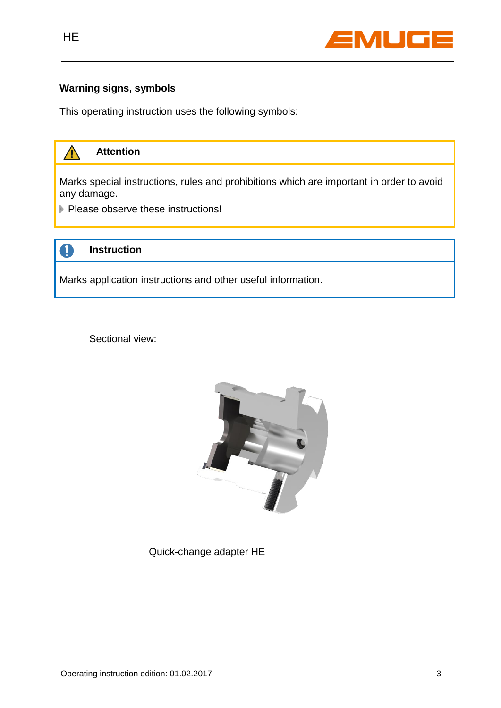

### **Warning signs, symbols**

This operating instruction uses the following symbols:



Sectional view:



Quick-change adapter HE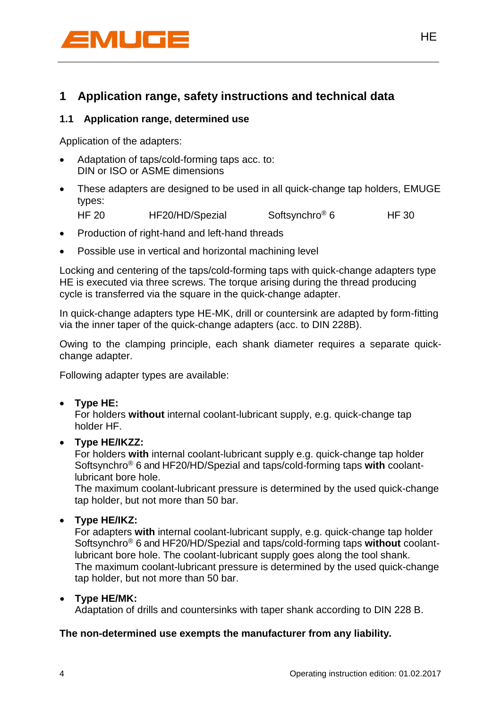

## **1 Application range, safety instructions and technical data**

### **1.1 Application range, determined use**

Application of the adapters:

- Adaptation of taps/cold-forming taps acc. to: DIN or ISO or ASME dimensions
- These adapters are designed to be used in all quick-change tap holders, EMUGE types:
	- HF 20 HF20/HD/Spezial Softsynchro<sup>®</sup> 6 HF 30
- Production of right-hand and left-hand threads
- Possible use in vertical and horizontal machining level

Locking and centering of the taps/cold-forming taps with quick-change adapters type HE is executed via three screws. The torque arising during the thread producing cycle is transferred via the square in the quick-change adapter.

In quick-change adapters type HE-MK, drill or countersink are adapted by form-fitting via the inner taper of the quick-change adapters (acc. to DIN 228B).

Owing to the clamping principle, each shank diameter requires a separate quickchange adapter.

Following adapter types are available:

**Type HE:**

For holders **without** internal coolant-lubricant supply, e.g. quick-change tap holder HF.

**Type HE/IKZZ:**

For holders **with** internal coolant-lubricant supply e.g. quick-change tap holder Softsynchro® 6 and HF20/HD/Spezial and taps/cold-forming taps **with** coolantlubricant bore hole.

The maximum coolant-lubricant pressure is determined by the used quick-change tap holder, but not more than 50 bar.

#### **Type HE/IKZ:**

For adapters **with** internal coolant-lubricant supply, e.g. quick-change tap holder Softsynchro® 6 and HF20/HD/Spezial and taps/cold-forming taps **without** coolantlubricant bore hole. The coolant-lubricant supply goes along the tool shank. The maximum coolant-lubricant pressure is determined by the used quick-change tap holder, but not more than 50 bar.

#### **Type HE/MK:**

Adaptation of drills and countersinks with taper shank according to DIN 228 B.

#### **The non-determined use exempts the manufacturer from any liability.**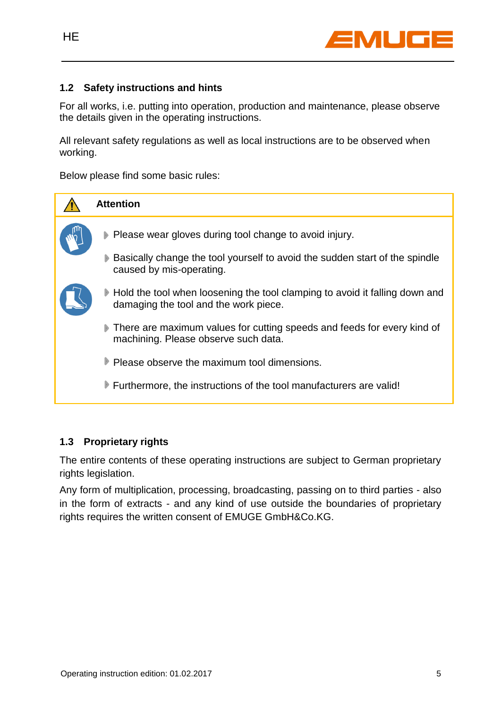

### **1.2 Safety instructions and hints**

For all works, i.e. putting into operation, production and maintenance, please observe the details given in the operating instructions.

All relevant safety regulations as well as local instructions are to be observed when working.

Below please find some basic rules:



## **1.3 Proprietary rights**

The entire contents of these operating instructions are subject to German proprietary rights legislation.

Any form of multiplication, processing, broadcasting, passing on to third parties - also in the form of extracts - and any kind of use outside the boundaries of proprietary rights requires the written consent of EMUGE GmbH&Co.KG.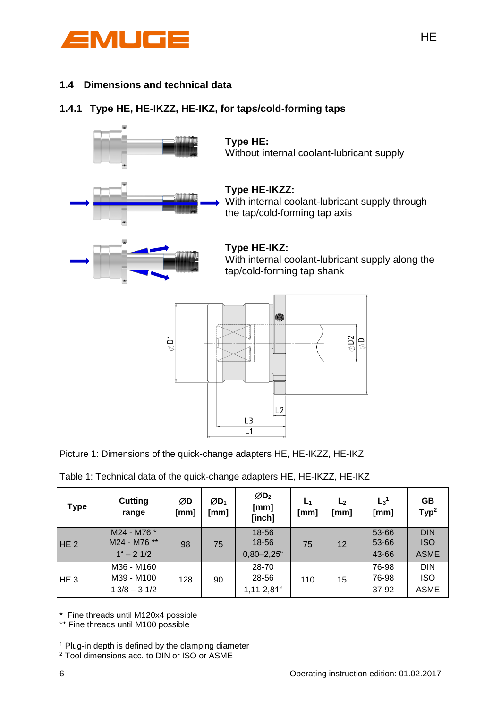

## **1.4 Dimensions and technical data**

## **1.4.1 Type HE, HE-IKZZ, HE-IKZ, for taps/cold-forming taps**



|  |  |  |  | Picture 1: Dimensions of the quick-change adapters HE, HE-IKZZ, HE-IKZ |  |
|--|--|--|--|------------------------------------------------------------------------|--|

|  |  | Table 1: Technical data of the quick-change adapters HE, HE-IKZZ, HE-IKZ |
|--|--|--------------------------------------------------------------------------|
|--|--|--------------------------------------------------------------------------|

| <b>Type</b>     | <b>Cutting</b><br>range                            | ØD<br>[mm] | $ØD_1$<br>[mm] | $\varnothing$ D <sub>2</sub><br>[mm]<br>[inch] | L <sub>1</sub><br>[mm] | L <sub>2</sub><br>[mm] | L <sub>3</sub> <sup>1</sup><br>[mm] | <b>GB</b><br>Type <sup>2</sup>          |
|-----------------|----------------------------------------------------|------------|----------------|------------------------------------------------|------------------------|------------------------|-------------------------------------|-----------------------------------------|
| HE <sub>2</sub> | M24 - M76 *<br>M24 - M76 **<br>$1^{\circ} - 2$ 1/2 | 98         | 75             | 18-56<br>18-56<br>$0,80 - 2,25$ "              | 75                     | 12                     | 53-66<br>53-66<br>43-66             | <b>DIN</b><br><b>ISO</b><br><b>ASME</b> |
| HE <sub>3</sub> | M36 - M160<br>M39 - M100<br>$13/8 - 31/2$          | 128        | 90             | 28-70<br>28-56<br>$1,11-2,81$ "                | 110                    | 15                     | 76-98<br>76-98<br>37-92             | <b>DIN</b><br><b>ISO</b><br><b>ASME</b> |

\* Fine threads until M120x4 possible

\*\* Fine threads until M100 possible

HE STATES AND THE STATES OF THE STATES OF THE STATES OF THE STATES OF THE STATES OF THE STATES OF THE STATES O

1

<sup>&</sup>lt;sup>1</sup> Plug-in depth is defined by the clamping diameter

<sup>2</sup> Tool dimensions acc. to DIN or ISO or ASME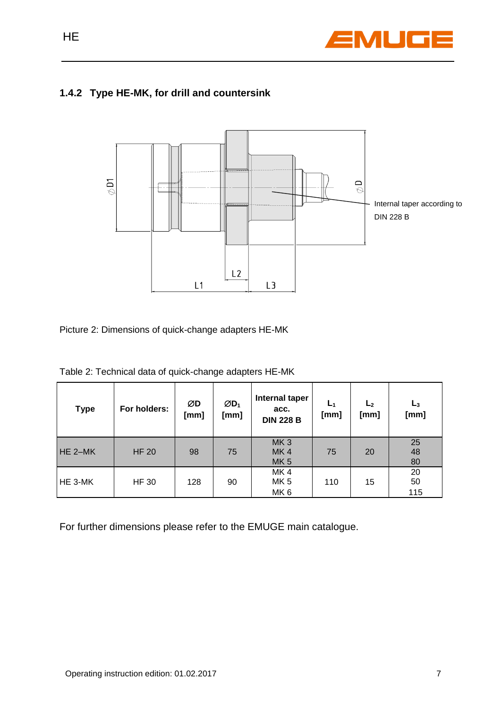

## **1.4.2 Type HE-MK, for drill and countersink**



Picture 2: Dimensions of quick-change adapters HE-MK

|  | Table 2: Technical data of quick-change adapters HE-MK |  |
|--|--------------------------------------------------------|--|
|  |                                                        |  |

| <b>Type</b> | For holders: | ØD<br>[mm] | $ØD_1$<br>[mm] | Internal taper<br>acc.<br><b>DIN 228 B</b> | L <sub>1</sub><br>[mm] | L <sub>2</sub><br>[mm] | $L_3$<br>[mm]   |
|-------------|--------------|------------|----------------|--------------------------------------------|------------------------|------------------------|-----------------|
| $HE 2-MK$   | <b>HF 20</b> | 98         | 75             | MK <sub>3</sub><br>MK4<br>MK <sub>5</sub>  | 75                     | 20                     | 25<br>48<br>80  |
| HE 3-MK     | <b>HF 30</b> | 128        | 90             | MK4<br>MK <sub>5</sub><br>MK <sub>6</sub>  | 110                    | 15                     | 20<br>50<br>115 |

For further dimensions please refer to the EMUGE main catalogue.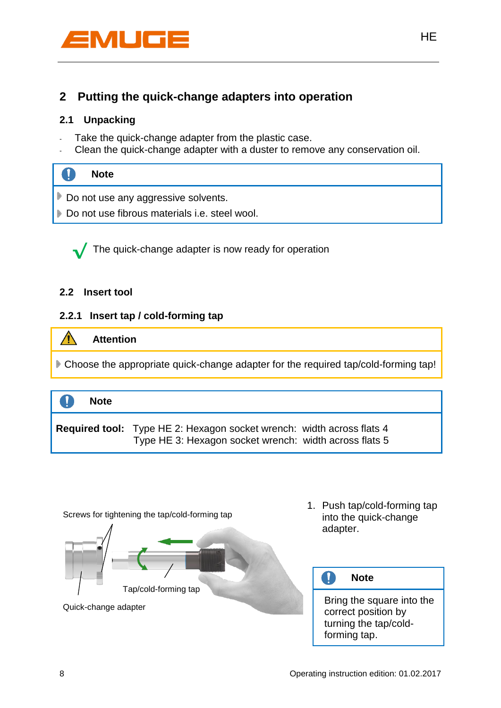

## **2 Putting the quick-change adapters into operation**

### **2.1 Unpacking**

- Take the quick-change adapter from the plastic case.
- Clean the quick-change adapter with a duster to remove any conservation oil.

| <b>SIMP</b> | <b>Note</b>                                   |
|-------------|-----------------------------------------------|
|             | Do not use any aggressive solvents.           |
|             | Do not use fibrous materials i.e. steel wool. |

 The quick-change adapter is now ready for operation **√**

#### **2.2 Insert tool**

## **2.2.1 Insert tap / cold-forming tap**





1. Push tap/cold-forming tap into the quick-change adapter.

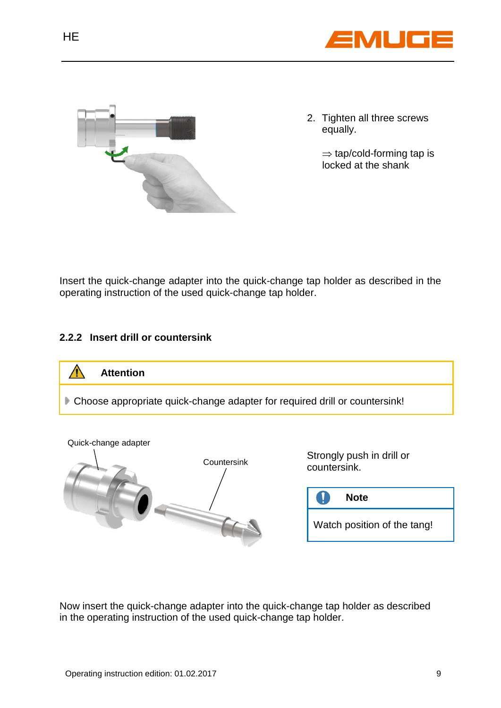



2. Tighten all three screws equally.

> $\Rightarrow$  tap/cold-forming tap is locked at the shank

Insert the quick-change adapter into the quick-change tap holder as described in the operating instruction of the used quick-change tap holder.

## **2.2.2 Insert drill or countersink**



Now insert the quick-change adapter into the quick-change tap holder as described in the operating instruction of the used quick-change tap holder.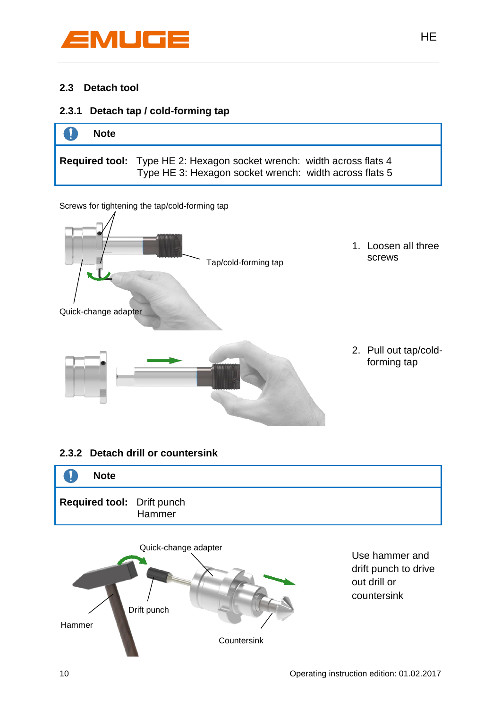

## **2.3 Detach tool**

## **2.3.1 Detach tap / cold-forming tap**



HE STATES AND THE STATES OF THE STATES OF THE STATES OF THE STATES OF THE STATES OF THE STATES OF THE STATES O

Screws for tightening the tap/cold-forming tap



## **2.3.2 Detach drill or countersink**





Use hammer and drift punch to drive out drill or countersink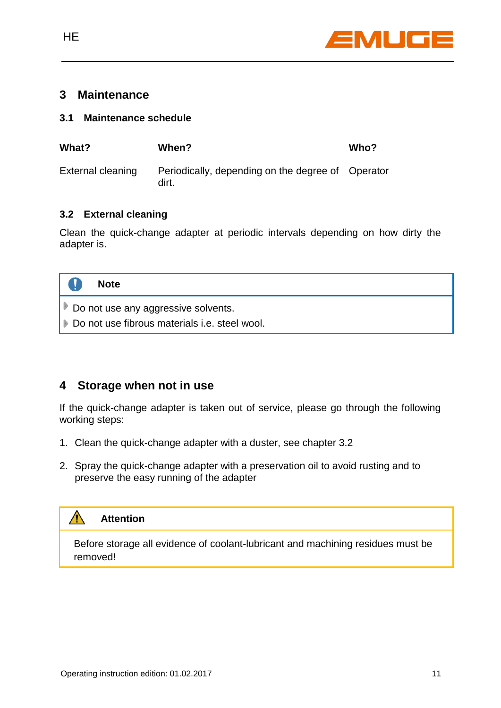

## **3 Maintenance**

#### **3.1 Maintenance schedule**

| What?             | When?                                                      | Who? |
|-------------------|------------------------------------------------------------|------|
| External cleaning | Periodically, depending on the degree of Operator<br>dirt. |      |

## **3.2 External cleaning**

Clean the quick-change adapter at periodic intervals depending on how dirty the adapter is.



## **4 Storage when not in use**

If the quick-change adapter is taken out of service, please go through the following working steps:

- 1. Clean the quick-change adapter with a duster, see chapter 3.2
- 2. Spray the quick-change adapter with a preservation oil to avoid rusting and to preserve the easy running of the adapter



Before storage all evidence of coolant-lubricant and machining residues must be removed!